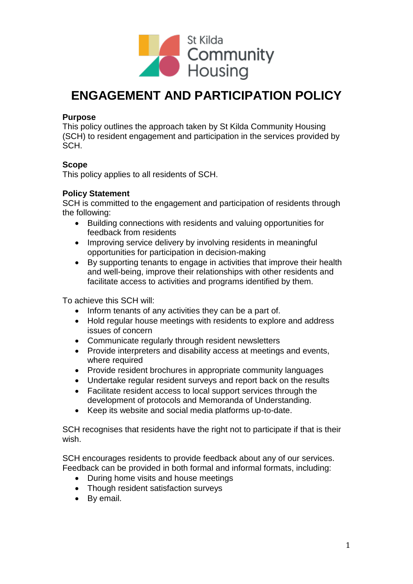

# **ENGAGEMENT AND PARTICIPATION POLICY**

#### **Purpose**

This policy outlines the approach taken by St Kilda Community Housing (SCH) to resident engagement and participation in the services provided by SCH.

## **Scope**

This policy applies to all residents of SCH.

### **Policy Statement**

SCH is committed to the engagement and participation of residents through the following:

- Building connections with residents and valuing opportunities for feedback from residents
- Improving service delivery by involving residents in meaningful opportunities for participation in decision-making
- By supporting tenants to engage in activities that improve their health and well-being, improve their relationships with other residents and facilitate access to activities and programs identified by them.

To achieve this SCH will:

- Inform tenants of any activities they can be a part of.
- Hold regular house meetings with residents to explore and address issues of concern
- Communicate regularly through resident newsletters
- Provide interpreters and disability access at meetings and events, where required
- Provide resident brochures in appropriate community languages
- Undertake regular resident surveys and report back on the results
- Facilitate resident access to local support services through the development of protocols and Memoranda of Understanding.
- Keep its website and social media platforms up-to-date.

SCH recognises that residents have the right not to participate if that is their wish.

SCH encourages residents to provide feedback about any of our services. Feedback can be provided in both formal and informal formats, including:

- During home visits and house meetings
- Though resident satisfaction surveys
- By email.